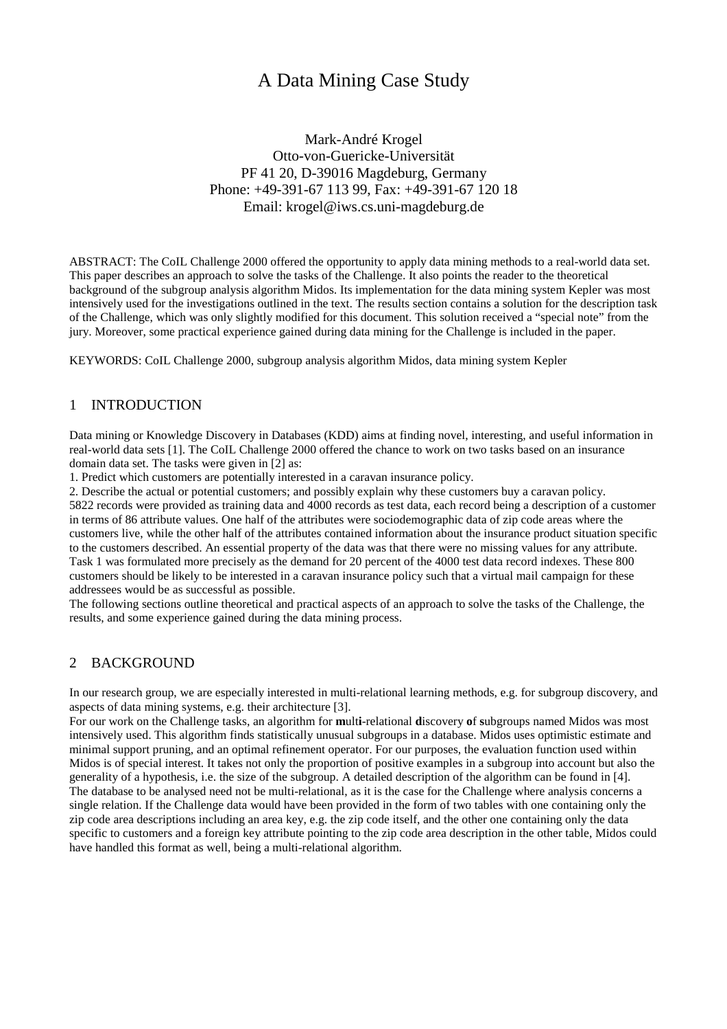# A Data Mining Case Study

Mark-André Krogel Otto-von-Guericke-Universität PF 41 20, D-39016 Magdeburg, Germany Phone: +49-391-67 113 99, Fax: +49-391-67 120 18 Email: krogel@iws.cs.uni-magdeburg.de

ABSTRACT: The CoIL Challenge 2000 offered the opportunity to apply data mining methods to a real-world data set. This paper describes an approach to solve the tasks of the Challenge. It also points the reader to the theoretical background of the subgroup analysis algorithm Midos. Its implementation for the data mining system Kepler was most intensively used for the investigations outlined in the text. The results section contains a solution for the description task of the Challenge, which was only slightly modified for this document. This solution received a "special note" from the jury. Moreover, some practical experience gained during data mining for the Challenge is included in the paper.

KEYWORDS: CoIL Challenge 2000, subgroup analysis algorithm Midos, data mining system Kepler

## 1 INTRODUCTION

Data mining or Knowledge Discovery in Databases (KDD) aims at finding novel, interesting, and useful information in real-world data sets [1]. The CoIL Challenge 2000 offered the chance to work on two tasks based on an insurance domain data set. The tasks were given in [2] as:

1. Predict which customers are potentially interested in a caravan insurance policy.

2. Describe the actual or potential customers; and possibly explain why these customers buy a caravan policy. 5822 records were provided as training data and 4000 records as test data, each record being a description of a customer in terms of 86 attribute values. One half of the attributes were sociodemographic data of zip code areas where the customers live, while the other half of the attributes contained information about the insurance product situation specific to the customers described. An essential property of the data was that there were no missing values for any attribute. Task 1 was formulated more precisely as the demand for 20 percent of the 4000 test data record indexes. These 800 customers should be likely to be interested in a caravan insurance policy such that a virtual mail campaign for these addressees would be as successful as possible.

The following sections outline theoretical and practical aspects of an approach to solve the tasks of the Challenge, the results, and some experience gained during the data mining process.

### 2 BACKGROUND

In our research group, we are especially interested in multi-relational learning methods, e.g. for subgroup discovery, and aspects of data mining systems, e.g. their architecture [3].

For our work on the Challenge tasks, an algorithm for **m**ult**i**-relational **d**iscovery **o**f **s**ubgroups named Midos was most intensively used. This algorithm finds statistically unusual subgroups in a database. Midos uses optimistic estimate and minimal support pruning, and an optimal refinement operator. For our purposes, the evaluation function used within Midos is of special interest. It takes not only the proportion of positive examples in a subgroup into account but also the generality of a hypothesis, i.e. the size of the subgroup. A detailed description of the algorithm can be found in [4]. The database to be analysed need not be multi-relational, as it is the case for the Challenge where analysis concerns a single relation. If the Challenge data would have been provided in the form of two tables with one containing only the zip code area descriptions including an area key, e.g. the zip code itself, and the other one containing only the data specific to customers and a foreign key attribute pointing to the zip code area description in the other table, Midos could have handled this format as well, being a multi-relational algorithm.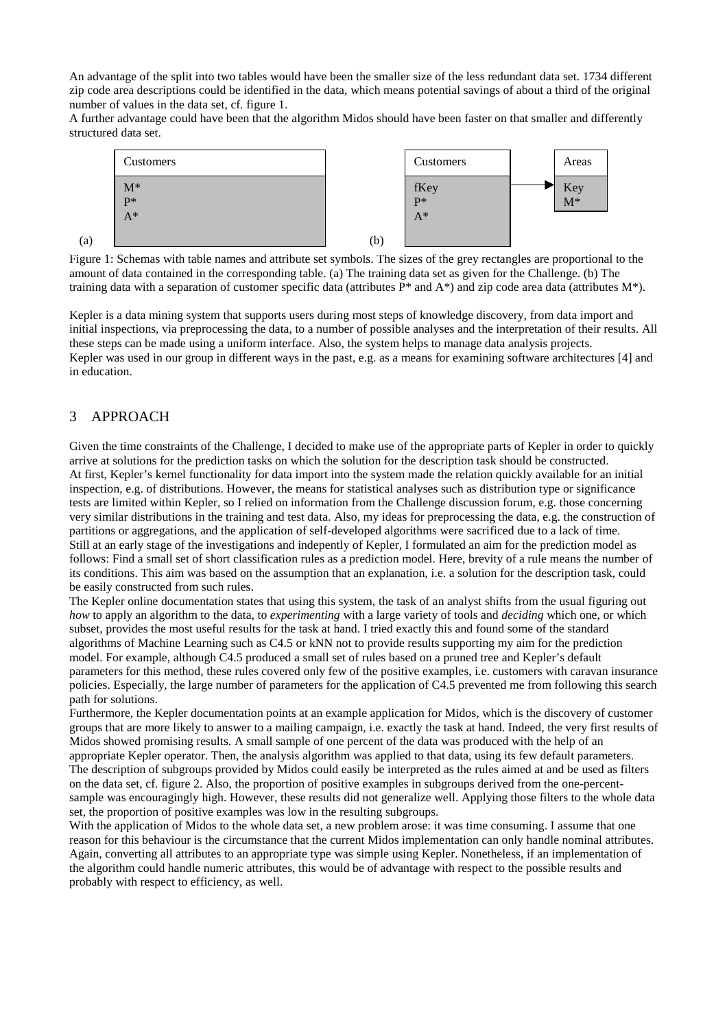An advantage of the split into two tables would have been the smaller size of the less redundant data set. 1734 different zip code area descriptions could be identified in the data, which means potential savings of about a third of the original number of values in the data set, cf. figure 1.

A further advantage could have been that the algorithm Midos should have been faster on that smaller and differently structured data set.



Figure 1: Schemas with table names and attribute set symbols. The sizes of the grey rectangles are proportional to the amount of data contained in the corresponding table. (a) The training data set as given for the Challenge. (b) The training data with a separation of customer specific data (attributes  $P^*$  and  $A^*$ ) and zip code area data (attributes  $M^*$ ).

Kepler is a data mining system that supports users during most steps of knowledge discovery, from data import and initial inspections, via preprocessing the data, to a number of possible analyses and the interpretation of their results. All these steps can be made using a uniform interface. Also, the system helps to manage data analysis projects. Kepler was used in our group in different ways in the past, e.g. as a means for examining software architectures [4] and in education.

# 3 APPROACH

(a)

Given the time constraints of the Challenge, I decided to make use of the appropriate parts of Kepler in order to quickly arrive at solutions for the prediction tasks on which the solution for the description task should be constructed. At first, Kepler's kernel functionality for data import into the system made the relation quickly available for an initial inspection, e.g. of distributions. However, the means for statistical analyses such as distribution type or significance tests are limited within Kepler, so I relied on information from the Challenge discussion forum, e.g. those concerning very similar distributions in the training and test data. Also, my ideas for preprocessing the data, e.g. the construction of partitions or aggregations, and the application of self-developed algorithms were sacrificed due to a lack of time. Still at an early stage of the investigations and indepently of Kepler, I formulated an aim for the prediction model as follows: Find a small set of short classification rules as a prediction model. Here, brevity of a rule means the number of its conditions. This aim was based on the assumption that an explanation, i.e. a solution for the description task, could be easily constructed from such rules.

The Kepler online documentation states that using this system, the task of an analyst shifts from the usual figuring out *how* to apply an algorithm to the data, to *experimenting* with a large variety of tools and *deciding* which one, or which subset, provides the most useful results for the task at hand. I tried exactly this and found some of the standard algorithms of Machine Learning such as C4.5 or kNN not to provide results supporting my aim for the prediction model. For example, although C4.5 produced a small set of rules based on a pruned tree and Kepler's default parameters for this method, these rules covered only few of the positive examples, i.e. customers with caravan insurance policies. Especially, the large number of parameters for the application of C4.5 prevented me from following this search path for solutions.

Furthermore, the Kepler documentation points at an example application for Midos, which is the discovery of customer groups that are more likely to answer to a mailing campaign, i.e. exactly the task at hand. Indeed, the very first results of Midos showed promising results. A small sample of one percent of the data was produced with the help of an appropriate Kepler operator. Then, the analysis algorithm was applied to that data, using its few default parameters. The description of subgroups provided by Midos could easily be interpreted as the rules aimed at and be used as filters on the data set, cf. figure 2. Also, the proportion of positive examples in subgroups derived from the one-percentsample was encouragingly high. However, these results did not generalize well. Applying those filters to the whole data set, the proportion of positive examples was low in the resulting subgroups.

With the application of Midos to the whole data set, a new problem arose: it was time consuming. I assume that one reason for this behaviour is the circumstance that the current Midos implementation can only handle nominal attributes. Again, converting all attributes to an appropriate type was simple using Kepler. Nonetheless, if an implementation of the algorithm could handle numeric attributes, this would be of advantage with respect to the possible results and probably with respect to efficiency, as well.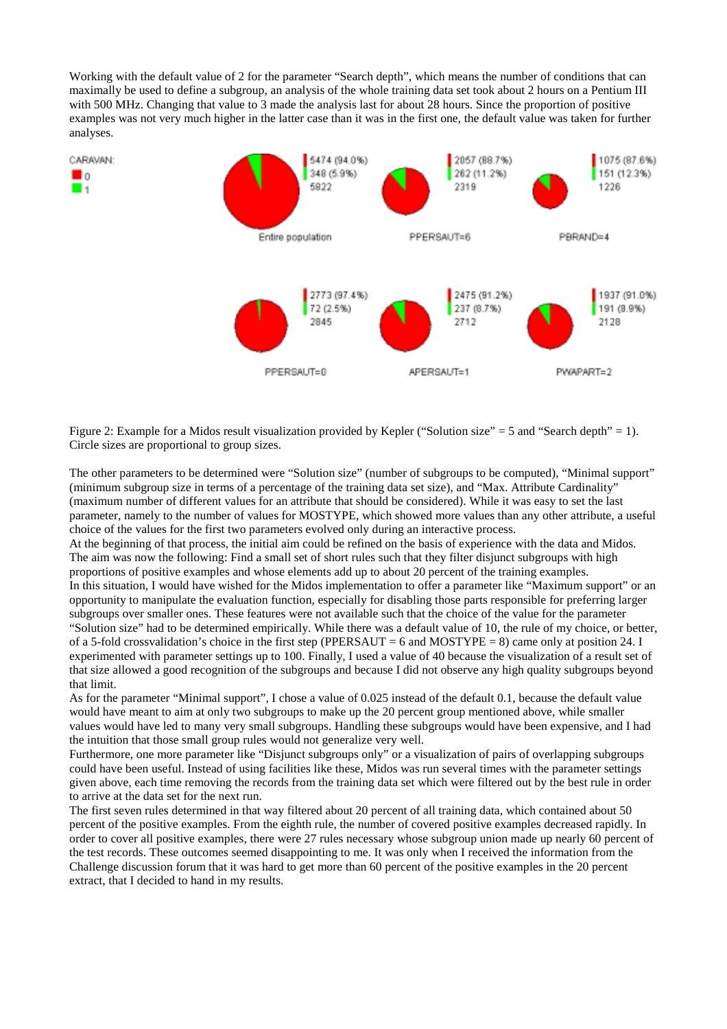Working with the default value of 2 for the parameter "Search depth", which means the number of conditions that can maximally be used to define a subgroup, an analysis of the whole training data set took about 2 hours on a Pentium III with 500 MHz. Changing that value to 3 made the analysis last for about 28 hours. Since the proportion of positive examples was not very much higher in the latter case than it was in the first one, the default value was taken for further analyses.



Figure 2: Example for a Midos result visualization provided by Kepler ("Solution size" = 5 and "Search depth" = 1). Circle sizes are proportional to group sizes.

The other parameters to be determined were "Solution size" (number of subgroups to be computed), "Minimal support" (minimum subgroup size in terms of a percentage of the training data set size), and "Max. Attribute Cardinality" (maximum number of different values for an attribute that should be considered). While it was easy to set the last parameter, namely to the number of values for MOSTYPE, which showed more values than any other attribute, a useful choice of the values for the first two parameters evolved only during an interactive process.

At the beginning of that process, the initial aim could be refined on the basis of experience with the data and Midos. The aim was now the following: Find a small set of short rules such that they filter disjunct subgroups with high proportions of positive examples and whose elements add up to about 20 percent of the training examples. In this situation, I would have wished for the Midos implementation to offer a parameter like "Maximum support" or an opportunity to manipulate the evaluation function, especially for disabling those parts responsible for preferring larger subgroups over smaller ones. These features were not available such that the choice of the value for the parameter "Solution size" had to be determined empirically. While there was a default value of 10, the rule of my choice, or better, of a 5-fold crossvalidation's choice in the first step (PPERSAUT = 6 and MOSTYPE = 8) came only at position 24. I experimented with parameter settings up to 100. Finally, I used a value of 40 because the visualization of a result set of that size allowed a good recognition of the subgroups and because I did not observe any high quality subgroups beyond that limit.

As for the parameter "Minimal support", I chose a value of 0.025 instead of the default 0.1, because the default value would have meant to aim at only two subgroups to make up the 20 percent group mentioned above, while smaller values would have led to many very small subgroups. Handling these subgroups would have been expensive, and I had the intuition that those small group rules would not generalize very well.

Furthermore, one more parameter like "Disjunct subgroups only" or a visualization of pairs of overlapping subgroups could have been useful. Instead of using facilities like these, Midos was run several times with the parameter settings given above, each time removing the records from the training data set which were filtered out by the best rule in order to arrive at the data set for the next run.

The first seven rules determined in that way filtered about 20 percent of all training data, which contained about 50 percent of the positive examples. From the eighth rule, the number of covered positive examples decreased rapidly. In order to cover all positive examples, there were 27 rules necessary whose subgroup union made up nearly 60 percent of the test records. These outcomes seemed disappointing to me. It was only when I received the information from the Challenge discussion forum that it was hard to get more than 60 percent of the positive examples in the 20 percent extract, that I decided to hand in my results.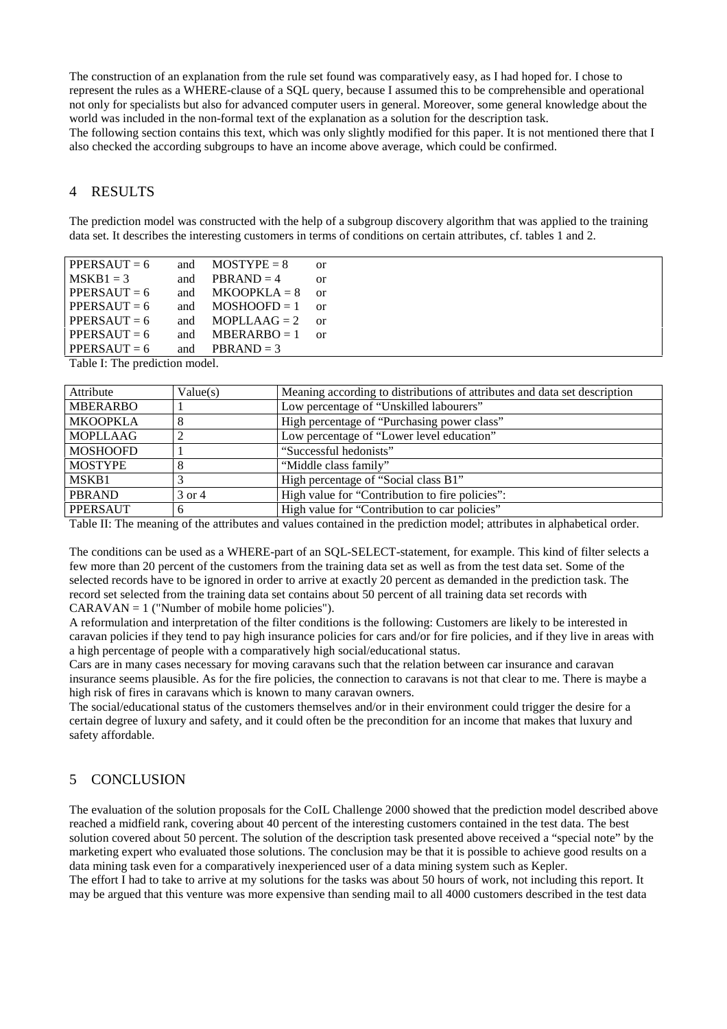The construction of an explanation from the rule set found was comparatively easy, as I had hoped for. I chose to represent the rules as a WHERE-clause of a SQL query, because I assumed this to be comprehensible and operational not only for specialists but also for advanced computer users in general. Moreover, some general knowledge about the world was included in the non-formal text of the explanation as a solution for the description task. The following section contains this text, which was only slightly modified for this paper. It is not mentioned there that I also checked the according subgroups to have an income above average, which could be confirmed.

### 4 RESULTS

The prediction model was constructed with the help of a subgroup discovery algorithm that was applied to the training data set. It describes the interesting customers in terms of conditions on certain attributes, cf. tables 1 and 2.

| $PPERSAUT = 6$ | and | $MOSTYPE = 8$  | or         |
|----------------|-----|----------------|------------|
| $MSKB1 = 3$    | and | $PBRAND = 4$   | $\alpha$   |
| $PPERSAUT = 6$ | and | $MKOOPKLA = 8$ | $\alpha$ r |
| $PPERSAUT = 6$ | and | $MOSHOOFD = 1$ | $\alpha$   |
| $PPERSAUT = 6$ | and | $MOPLLAAG = 2$ | $\alpha$ r |
| $PPERSAUT = 6$ | and | $MBERARBO = 1$ | $\alpha$   |
| $PPERSAUT = 6$ | and | $PBRAND = 3$   |            |

Table I: The prediction model.

| Attribute       | Value(s) | Meaning according to distributions of attributes and data set description |
|-----------------|----------|---------------------------------------------------------------------------|
| <b>MBERARBO</b> |          | Low percentage of "Unskilled labourers"                                   |
| <b>MKOOPKLA</b> |          | High percentage of "Purchasing power class"                               |
| <b>MOPLLAAG</b> |          | Low percentage of "Lower level education"                                 |
| <b>MOSHOOFD</b> |          | "Successful hedonists"                                                    |
| <b>MOSTYPE</b>  |          | "Middle class family"                                                     |
| MSKB1           |          | High percentage of "Social class B1"                                      |
| <b>PBRAND</b>   | 3 or 4   | High value for "Contribution to fire policies":                           |
| <b>PPERSAUT</b> | 6        | High value for "Contribution to car policies"                             |

Table II: The meaning of the attributes and values contained in the prediction model; attributes in alphabetical order.

The conditions can be used as a WHERE-part of an SQL-SELECT-statement, for example. This kind of filter selects a few more than 20 percent of the customers from the training data set as well as from the test data set. Some of the selected records have to be ignored in order to arrive at exactly 20 percent as demanded in the prediction task. The record set selected from the training data set contains about 50 percent of all training data set records with  $CARAVAN = 1$  ("Number of mobile home policies").

A reformulation and interpretation of the filter conditions is the following: Customers are likely to be interested in caravan policies if they tend to pay high insurance policies for cars and/or for fire policies, and if they live in areas with a high percentage of people with a comparatively high social/educational status.

Cars are in many cases necessary for moving caravans such that the relation between car insurance and caravan insurance seems plausible. As for the fire policies, the connection to caravans is not that clear to me. There is maybe a high risk of fires in caravans which is known to many caravan owners.

The social/educational status of the customers themselves and/or in their environment could trigger the desire for a certain degree of luxury and safety, and it could often be the precondition for an income that makes that luxury and safety affordable.

#### 5 CONCLUSION

The evaluation of the solution proposals for the CoIL Challenge 2000 showed that the prediction model described above reached a midfield rank, covering about 40 percent of the interesting customers contained in the test data. The best solution covered about 50 percent. The solution of the description task presented above received a "special note" by the marketing expert who evaluated those solutions. The conclusion may be that it is possible to achieve good results on a data mining task even for a comparatively inexperienced user of a data mining system such as Kepler.

The effort I had to take to arrive at my solutions for the tasks was about 50 hours of work, not including this report. It may be argued that this venture was more expensive than sending mail to all 4000 customers described in the test data